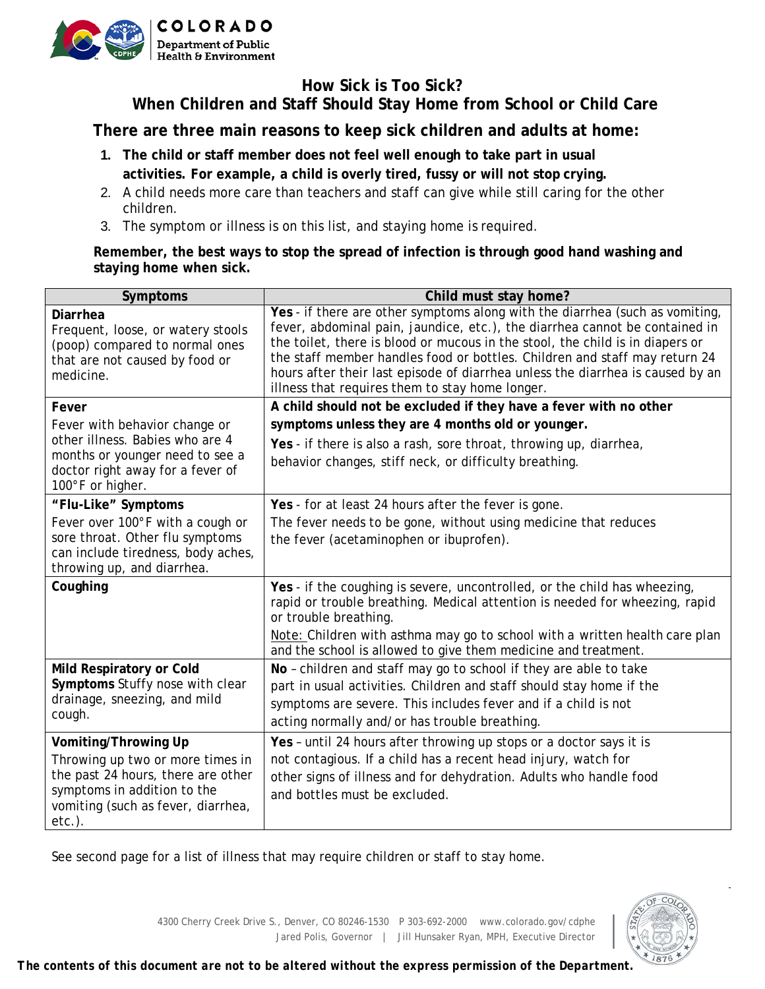

## **How Sick is Too Sick?**

## **When Children and Staff Should Stay Home from School or Child Care**

**There are three main reasons to keep sick children and adults at home:**

- **1. The child or staff member does not feel well enough to take part in usual activities. For example, a child is overly tired, fussy or will not stop crying.**
- 2. A child needs more care than teachers and staff can give while still caring for the other children.
- 3. The symptom or illness is on this list, and staying home is required.

## **Remember, the best ways to stop the spread of infection is through good hand washing and staying home when sick.**

| Symptoms                                                                                                                                                    | Child must stay home?                                                                                                                                                                                                                                                                                                                                                                                                                                           |
|-------------------------------------------------------------------------------------------------------------------------------------------------------------|-----------------------------------------------------------------------------------------------------------------------------------------------------------------------------------------------------------------------------------------------------------------------------------------------------------------------------------------------------------------------------------------------------------------------------------------------------------------|
| Diarrhea<br>Frequent, loose, or watery stools<br>(poop) compared to normal ones<br>that are not caused by food or<br>medicine.                              | Yes - if there are other symptoms along with the diarrhea (such as vomiting,<br>fever, abdominal pain, jaundice, etc.), the diarrhea cannot be contained in<br>the toilet, there is blood or mucous in the stool, the child is in diapers or<br>the staff member handles food or bottles. Children and staff may return 24<br>hours after their last episode of diarrhea unless the diarrhea is caused by an<br>illness that requires them to stay home longer. |
| Fever                                                                                                                                                       | A child should not be excluded if they have a fever with no other                                                                                                                                                                                                                                                                                                                                                                                               |
| Fever with behavior change or<br>other illness. Babies who are 4<br>months or younger need to see a<br>doctor right away for a fever of<br>100°F or higher. | symptoms unless they are 4 months old or younger.<br>Yes - if there is also a rash, sore throat, throwing up, diarrhea,<br>behavior changes, stiff neck, or difficulty breathing.                                                                                                                                                                                                                                                                               |
| "Flu-Like" Symptoms                                                                                                                                         | Yes - for at least 24 hours after the fever is gone.                                                                                                                                                                                                                                                                                                                                                                                                            |
| Fever over 100°F with a cough or<br>sore throat. Other flu symptoms<br>can include tiredness, body aches,<br>throwing up, and diarrhea.                     | The fever needs to be gone, without using medicine that reduces<br>the fever (acetaminophen or ibuprofen).                                                                                                                                                                                                                                                                                                                                                      |
| Coughing                                                                                                                                                    | Yes - if the coughing is severe, uncontrolled, or the child has wheezing,<br>rapid or trouble breathing. Medical attention is needed for wheezing, rapid<br>or trouble breathing.<br>Note: Children with asthma may go to school with a written health care plan                                                                                                                                                                                                |
|                                                                                                                                                             | and the school is allowed to give them medicine and treatment.                                                                                                                                                                                                                                                                                                                                                                                                  |
| Mild Respiratory or Cold<br>Symptoms Stuffy nose with clear<br>drainage, sneezing, and mild<br>cough.                                                       | No - children and staff may go to school if they are able to take<br>part in usual activities. Children and staff should stay home if the<br>symptoms are severe. This includes fever and if a child is not<br>acting normally and/or has trouble breathing.                                                                                                                                                                                                    |
| Vomiting/Throwing Up                                                                                                                                        | Yes - until 24 hours after throwing up stops or a doctor says it is                                                                                                                                                                                                                                                                                                                                                                                             |
| Throwing up two or more times in<br>the past 24 hours, there are other<br>symptoms in addition to the<br>vomiting (such as fever, diarrhea,<br>$etc.$ ).    | not contagious. If a child has a recent head injury, watch for<br>other signs of illness and for dehydration. Adults who handle food<br>and bottles must be excluded.                                                                                                                                                                                                                                                                                           |

See second page for a list of illness that may require children or staff to stay home.